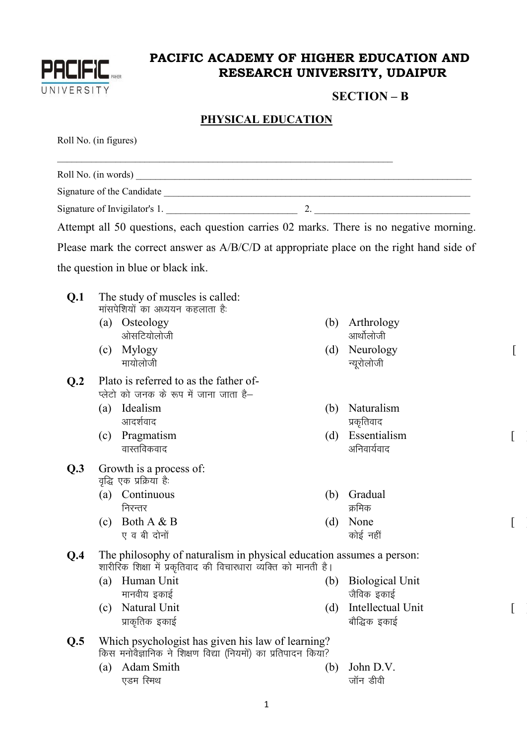

## **PACIFIC ACADEMY OF HIGHER EDUCATION AND RESEARCH UNIVERSITY, UDAIPUR**

## **SECTION – B**

 $\lceil$ 

 $\overline{\mathfrak{l}}$ 

 $\lbrack$ 

 $[ \; ]$ 

## **PHYSICAL EDUCATION**

Roll No. (in figures)

|                  |                                                                                  | Signature of Invigilator's 1.                                                                                                           |     | 2. $\qquad \qquad$                   |  |  |  |
|------------------|----------------------------------------------------------------------------------|-----------------------------------------------------------------------------------------------------------------------------------------|-----|--------------------------------------|--|--|--|
|                  |                                                                                  | Attempt all 50 questions, each question carries 02 marks. There is no negative morning.                                                 |     |                                      |  |  |  |
|                  |                                                                                  | Please mark the correct answer as A/B/C/D at appropriate place on the right hand side of                                                |     |                                      |  |  |  |
|                  |                                                                                  | the question in blue or black ink.                                                                                                      |     |                                      |  |  |  |
|                  |                                                                                  |                                                                                                                                         |     |                                      |  |  |  |
| Q <sub>1</sub>   |                                                                                  | The study of muscles is called:<br>मांसपेशियों का अध्ययन कहलाता है:                                                                     |     |                                      |  |  |  |
|                  |                                                                                  | (a) Osteology<br>ओसटियोलोजी                                                                                                             | (b) | Arthrology<br>आर्थोलोजी              |  |  |  |
|                  |                                                                                  | (c) Mylogy<br>मायोलोजी                                                                                                                  | (d) | Neurology<br>न्यूरोलोजी              |  |  |  |
| Q <sub>0.2</sub> | Plato is referred to as the father of-<br>प्लेटो को जनक के रूप में जाना जाता है– |                                                                                                                                         |     |                                      |  |  |  |
|                  |                                                                                  | (a) Idealism<br>आदर्शवाद                                                                                                                | (b) | Naturalism<br>प्रकृतिवाद             |  |  |  |
|                  | (c)                                                                              | Pragmatism<br>वास्तविकवाद                                                                                                               | (d) | Essentialism<br>अनिवार्यवाद          |  |  |  |
| Q.3              | Growth is a process of:<br>वृद्धि एक प्रक्रिया है:                               |                                                                                                                                         |     |                                      |  |  |  |
|                  | (a)                                                                              | Continuous<br>निरन्तर                                                                                                                   | (b) | Gradual<br>क्रमिक                    |  |  |  |
|                  |                                                                                  | (c) Both $A & B$<br>ए व बी दोनों                                                                                                        |     | (d) None<br>कोई नहीं                 |  |  |  |
| Q.4              |                                                                                  | The philosophy of naturalism in physical education assumes a person:<br>शारीरिक शिक्षा में प्रकृतिवाद की विचारधारा व्यक्ति को मानती है। |     |                                      |  |  |  |
|                  | (a)                                                                              | Human Unit<br>मानवीय इकाई                                                                                                               | (b) | <b>Biological Unit</b><br>जैविक इकाई |  |  |  |
|                  | (c)                                                                              | Natural Unit<br>प्राकृतिक इकाई                                                                                                          | (d) | Intellectual Unit<br>बौद्धिक इकाई    |  |  |  |
| Q.5              |                                                                                  | Which psychologist has given his law of learning?<br>किस मनोवैज्ञानिक ने शिक्षण विद्या (नियमों) का प्रतिपादन किया?                      |     |                                      |  |  |  |
|                  | (a)                                                                              | Adam Smith<br>एडम रिमथ                                                                                                                  | (b) | John D.V.<br>जॉन डीवी                |  |  |  |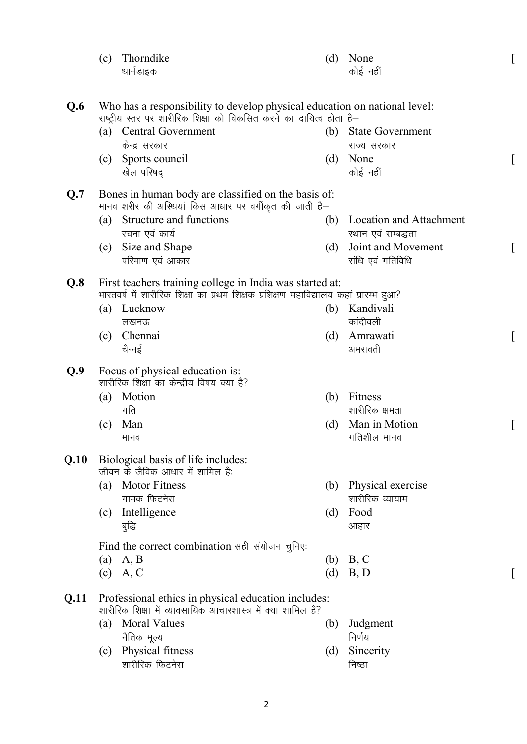|      | (c)                                                                                                                                              | Thorndike                                                                            | (d) | None                                   |  |  |  |
|------|--------------------------------------------------------------------------------------------------------------------------------------------------|--------------------------------------------------------------------------------------|-----|----------------------------------------|--|--|--|
|      |                                                                                                                                                  | थार्नडाइक                                                                            |     | कोई नहीं                               |  |  |  |
|      |                                                                                                                                                  |                                                                                      |     |                                        |  |  |  |
| Q.6  | Who has a responsibility to develop physical education on national level:<br>राष्ट्रीय स्तर पर शारीरिक शिक्षा को विकसित करने का दायित्व होता है– |                                                                                      |     |                                        |  |  |  |
|      | (a)                                                                                                                                              | <b>Central Government</b>                                                            | (b) | <b>State Government</b>                |  |  |  |
|      |                                                                                                                                                  | केन्द्र सरकार                                                                        |     | राज्य सरकार                            |  |  |  |
|      | (c)                                                                                                                                              | Sports council<br>खेल परिषद                                                          | (d) | None<br>कोई नहीं                       |  |  |  |
| Q.7  |                                                                                                                                                  | Bones in human body are classified on the basis of:                                  |     |                                        |  |  |  |
|      |                                                                                                                                                  | मानव शरीर की अस्थियां किस आधार पर वर्गीकृत की जाती है–                               |     |                                        |  |  |  |
|      | (a)                                                                                                                                              | Structure and functions                                                              | (b) | <b>Location and Attachment</b>         |  |  |  |
|      |                                                                                                                                                  | रचना एवं कार्य                                                                       |     | स्थान एवं सम्बद्धता                    |  |  |  |
|      | (c)                                                                                                                                              | Size and Shape<br>परिमाण एवं आकार                                                    | (d) | Joint and Movement<br>संधि एवं गतिविधि |  |  |  |
| Q.8  |                                                                                                                                                  | First teachers training college in India was started at:                             |     |                                        |  |  |  |
|      |                                                                                                                                                  | भारतवर्ष में शारीरिक शिक्षा का प्रथम शिक्षक प्रशिक्षण महाविद्यालय कहां प्रारम्भ हुआ? |     |                                        |  |  |  |
|      |                                                                                                                                                  | (a) Lucknow                                                                          | (b) | Kandivali                              |  |  |  |
|      |                                                                                                                                                  | लखनऊ<br>Chennai                                                                      |     | कांदीवली<br>Amrawati                   |  |  |  |
|      | (c)                                                                                                                                              | चैन्नई                                                                               | (d) | अमरावती                                |  |  |  |
|      |                                                                                                                                                  |                                                                                      |     |                                        |  |  |  |
| Q.9  |                                                                                                                                                  | Focus of physical education is:<br>शारीरिक शिक्षा का केन्द्रीय विषय क्या है?         |     |                                        |  |  |  |
|      | (a)                                                                                                                                              | Motion                                                                               | (b) | Fitness                                |  |  |  |
|      |                                                                                                                                                  | गति                                                                                  |     | शारीरिक क्षमता                         |  |  |  |
|      | (c)                                                                                                                                              | Man                                                                                  | (d) | Man in Motion                          |  |  |  |
|      |                                                                                                                                                  | मानव                                                                                 |     | गतिशील मानव                            |  |  |  |
| Q.10 |                                                                                                                                                  | Biological basis of life includes:<br>जीवन के जैविक आधार में शामिल है:               |     |                                        |  |  |  |
|      | (a)                                                                                                                                              | <b>Motor Fitness</b>                                                                 | (b) | Physical exercise                      |  |  |  |
|      |                                                                                                                                                  | गामक फिटनेस                                                                          |     | शारीरिक व्यायाम                        |  |  |  |
|      | (c)                                                                                                                                              | Intelligence                                                                         | (d) | Food                                   |  |  |  |
|      |                                                                                                                                                  | बुद्धि                                                                               |     | आहार                                   |  |  |  |
|      |                                                                                                                                                  | Find the correct combination सही संयोजन चुनिए:                                       |     |                                        |  |  |  |
|      |                                                                                                                                                  | $(a)$ A, B                                                                           | (b) | B, C                                   |  |  |  |
|      |                                                                                                                                                  | $(c)$ A, C                                                                           | (d) | B, D                                   |  |  |  |
| Q.11 |                                                                                                                                                  | Professional ethics in physical education includes:                                  |     |                                        |  |  |  |
|      |                                                                                                                                                  | शारीरिक शिक्षा में व्यावसायिक आचारशास्त्र में क्या शामिल है?<br><b>Moral Values</b>  |     |                                        |  |  |  |
|      | (a)                                                                                                                                              | नैतिक मूल्य                                                                          | (b) | Judgment<br>निर्णय                     |  |  |  |
|      | (c)                                                                                                                                              | Physical fitness                                                                     | (d) | Sincerity                              |  |  |  |
|      |                                                                                                                                                  | शारीरिक फिटनेस                                                                       |     | निष्ठा                                 |  |  |  |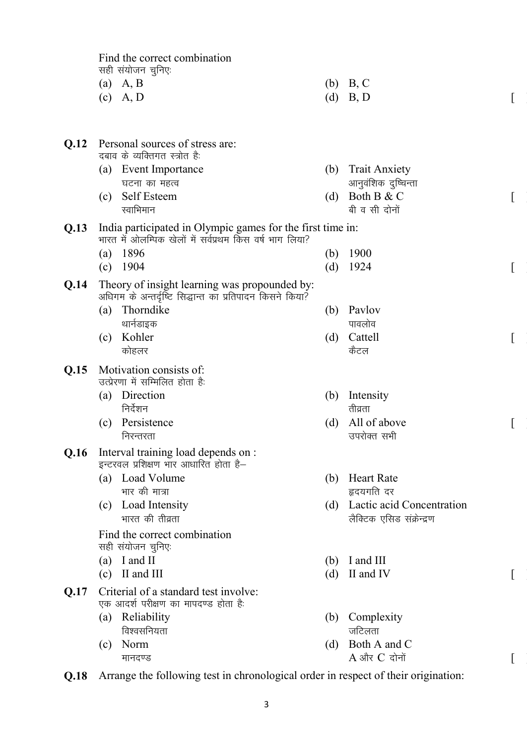Find the correct combination सही संयोजन चुनिएः

| (a) $A, B$ | (b) B, C   |
|------------|------------|
| $(c)$ A, D | $(d)$ B, D |

| <b>O.12</b> |     | Personal sources of stress are:<br>दबाव के व्यक्तिगत स्त्रोत है:                                                      |     |                                                        |  |
|-------------|-----|-----------------------------------------------------------------------------------------------------------------------|-----|--------------------------------------------------------|--|
|             |     | (a) Event Importance                                                                                                  | (b) | <b>Trait Anxiety</b>                                   |  |
|             |     | घटना का महत्व                                                                                                         |     | आनुवंशिक दुष्चिन्ता                                    |  |
|             | (c) | Self Esteem                                                                                                           | (d) | Both B & C                                             |  |
|             |     | स्वाभिमान                                                                                                             |     | बी व सी दोनों                                          |  |
| Q.13        |     | India participated in Olympic games for the first time in:<br>भारत में ओलम्पिक खेलों में सर्वप्रथम किस वर्ष भाग लिया? |     |                                                        |  |
|             | (a) | 1896                                                                                                                  | (b) | 1900                                                   |  |
|             | (c) | 1904                                                                                                                  | (d) | 1924                                                   |  |
| Q.14        |     | Theory of insight learning was propounded by:<br>अधिगम के अन्तर्दृष्टि सिद्धान्त का प्रतिपादन किसने किया?             |     |                                                        |  |
|             | (a) | Thorndike                                                                                                             | (b) | Paylov                                                 |  |
|             |     | थार्नडाइक                                                                                                             |     | पावलोव                                                 |  |
|             | (c) | Kohler                                                                                                                | (d) | Cattell                                                |  |
|             |     | कोहलर                                                                                                                 |     | कैटल                                                   |  |
| Q.15        |     | Motivation consists of:<br>उत्प्रेरणा में सम्मिलित होता है:                                                           |     |                                                        |  |
|             |     | (a) Direction                                                                                                         | (b) | Intensity                                              |  |
|             |     | निर्देशन                                                                                                              |     | तीव्रता                                                |  |
|             | (c) | Persistence                                                                                                           | (d) | All of above                                           |  |
|             |     | निरन्तरता                                                                                                             |     | उपरोक्त सभी                                            |  |
| Q.16        |     | Interval training load depends on :<br>इन्टरवल प्रशिक्षण भार आधारित होता है-                                          |     |                                                        |  |
|             | (a) | Load Volume                                                                                                           | (b) | <b>Heart Rate</b>                                      |  |
|             |     | भार की मात्रा                                                                                                         |     | हृदयगति दर                                             |  |
|             | (c) | Load Intensity<br>भारत की तीव्रता                                                                                     | (d) | Lactic acid Concentration<br>लैक्टिक एसिड संक्रेन्द्रण |  |
|             |     | Find the correct combination<br>सही संयोजन चुनिएः                                                                     |     |                                                        |  |
|             | (a) | I and II                                                                                                              | (b) | I and III                                              |  |
|             | (c) | II and III                                                                                                            | (d) | II and IV                                              |  |
| Q.17        |     | Criterial of a standard test involve:<br>एक आदर्श परीक्षण का मापदण्ड होता है:                                         |     |                                                        |  |
|             | (a) | Reliability                                                                                                           | (b) | Complexity                                             |  |
|             |     | विश्वसनियता                                                                                                           |     | जटिलता                                                 |  |
|             | (c) | Norm                                                                                                                  | (d) | Both A and C                                           |  |
|             |     | मानदण्ड                                                                                                               |     | $A$ और $C$ दोनों                                       |  |
|             |     |                                                                                                                       |     |                                                        |  |

**Q.18** Arrange the following test in chronological order in respect of their origination: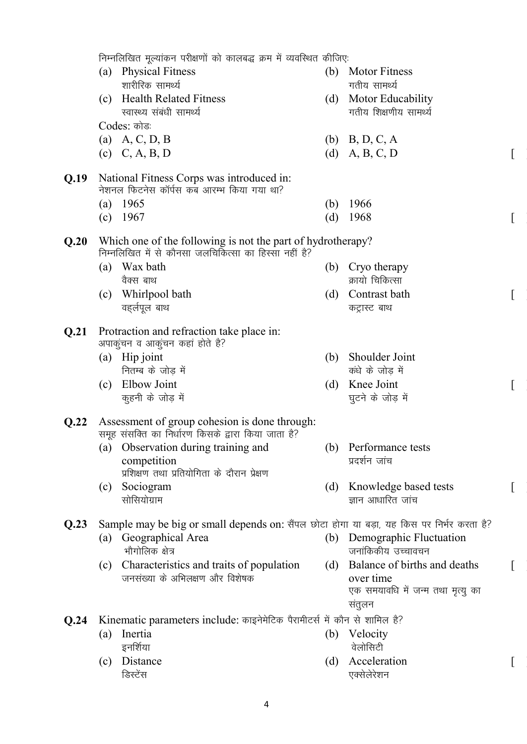निम्नलिखित मूल्यांकन परीक्षणों को कालबद्ध क्रम में व्यवस्थित कीजिए: (a) Physical Fitness शारीरिक सामर्थ्य (b) Motor Fitness गतीय सामर्थ्य (c) Health Related Fitness स्वास्थ्य संबंधी सामर्थ्य (d) Motor Educability गतीय शिक्षणीय सामर्थ्य Codes: कोडः (a) A, C, D, B (b) B, D, C, A (c)  $C, A, B, D$  (d)  $A, B, C, D$  [ **Q.19** National Fitness Corps was introduced in: नेशनल फिटनेस कॉर्पस कब आरम्भ किया गया था<sup>?</sup> (a) 1965 (b) 1966 (c)  $1967$  [ ] **Q.20** Which one of the following is not the part of hydrotherapy? निम्नलिखित में से कौनसा जलचिकित्सा का हिस्सा नहीं है? (a) Wax bath वैक्स बाथ (b) Cryo therapy क्रायो चिकित्सा (c) Whirlpool bath वहर्लपूल बाथ (d) Contrast bath कट्रास्ट बाथ **Q.21** Protraction and refraction take place in: अपाकुंचन व आकुंचन कहां होते है? (a) Hip joint नितम्ब के जोड में (b) Shoulder Joint कंधे के जोड़ में (c) Elbow Joint कूहनी के जोड़ में (d) Knee Joint घुटने के जोड़ में **Q.22** Assessment of group cohesion is done through: समूह संसक्ति का निर्धारण किसके द्वारा किया जाता है? (a) Observation during training and competition प्रशिक्षण तथा प्रतियोगिता के दौरान प्रेक्षण (b) Performance tests प्रदर्शन जांच (c) Sociogram सोसियोग्राम (d) Knowledge based tests ज्ञान आधारित जांच **Q.23** Sample may be big or small depends on: सैंपल छोटा होगा या बड़ा, यह किस पर निर्भर करता है? (a) Geographical Area भौगोलिक क्षेत्र (b) Demographic Fluctuation जनांकिकीय उच्चावचन (c) Characteristics and traits of population जनसंख्या के अभिलक्षण और विशेषक (d) Balance of births and deaths over time एक समयावधि में जन्म तथा मृत्यू का संतुलन **Q.24** Kinematic parameters include: काइनेमेटिक पैरामीटर्स में कौन से शामिल है? (a) Inertia इनर्शिया (b) Velocity वेलोसिटी (c) Distance डिस्टेंस (d) Acceleration एक्सेलेरेशन

 $\lceil$ 

 $\lceil$ 

 $\lceil$ 

 $\lceil$ 

 $\lceil$ 

4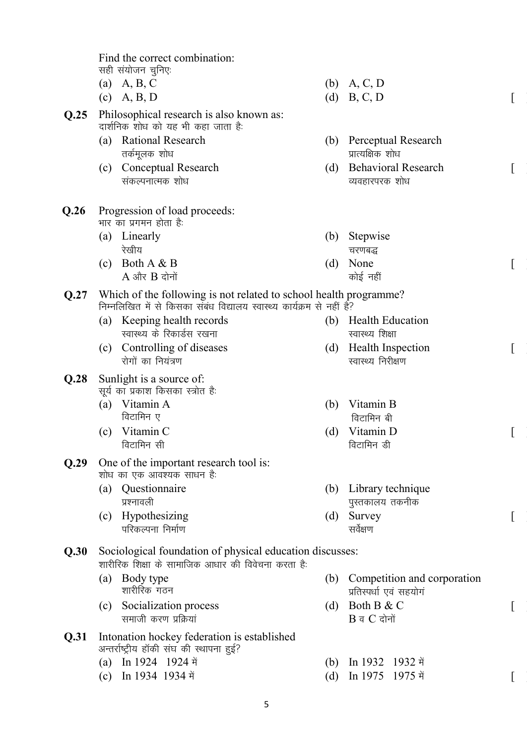|      | Find the correct combination:                                                                                                               |     |                             |  |
|------|---------------------------------------------------------------------------------------------------------------------------------------------|-----|-----------------------------|--|
|      | सही संयोजन चुनिएः                                                                                                                           |     |                             |  |
|      | (a) A, B, C                                                                                                                                 |     | (b) A, C, D<br>(d) B, C, D  |  |
|      | $(c)$ A, B, D                                                                                                                               |     |                             |  |
| Q.25 | Philosophical research is also known as:<br>दार्शनिक शोध को यह भी कहा जाता है:                                                              |     |                             |  |
|      | <b>Rational Research</b><br>(a)                                                                                                             | (b) | Perceptual Research         |  |
|      | तर्कमूलक शोध                                                                                                                                |     | प्रात्यक्षिक शोध            |  |
|      | Conceptual Research<br>(c)                                                                                                                  | (d) | <b>Behavioral Research</b>  |  |
|      | संकल्पनात्मक शोध                                                                                                                            |     | व्यवहारपरक शोध              |  |
| Q.26 | Progression of load proceeds:<br>भार का प्रगमन होता है:                                                                                     |     |                             |  |
|      | (a) Linearly                                                                                                                                | (b) | Stepwise                    |  |
|      | रेखीय                                                                                                                                       |     | चरणबद्ध                     |  |
|      | Both A & B<br>(c)                                                                                                                           | (d) | None                        |  |
|      | $A$ और $B$ दोनों                                                                                                                            |     | कोई नहीं                    |  |
| Q.27 | Which of the following is not related to school health programme?<br>निम्नलिखित में से किसका संबंध विद्यालय स्वास्थ्य कार्यक्रम से नहीं है? |     |                             |  |
|      | (a) Keeping health records                                                                                                                  | (b) | <b>Health Education</b>     |  |
|      | स्वास्थ्य के रिकार्डस रखना                                                                                                                  |     | स्वास्थ्य शिक्षा            |  |
|      | Controlling of diseases<br>(c)                                                                                                              | (d) | <b>Health Inspection</b>    |  |
|      | रोगों का नियंत्रण                                                                                                                           |     | स्वास्थ्य निरीक्षण          |  |
| Q.28 | Sunlight is a source of:                                                                                                                    |     |                             |  |
|      | सूर्य का प्रकाश किसका स्त्रोत है:<br>Vitamin A                                                                                              |     | Vitamin B                   |  |
|      | (a)<br>विटामिन ए                                                                                                                            | (b) | विटामिन बी                  |  |
|      | Vitamin C<br>(c)                                                                                                                            | (d) | Vitamin D                   |  |
|      | विटामिन सी                                                                                                                                  |     | विटामिन डी                  |  |
| Q.29 | One of the important research tool is:                                                                                                      |     |                             |  |
|      | शोध का एक आवश्यक साधन है:                                                                                                                   |     |                             |  |
|      | Questionnaire<br>(a)                                                                                                                        | (b) | Library technique           |  |
|      | प्रश्नावली                                                                                                                                  |     | पुस्तकालय तकनीक             |  |
|      | Hypothesizing<br>(c)                                                                                                                        | (d) | Survey                      |  |
|      | परिकल्पना निर्माण                                                                                                                           |     | सर्वेक्षण                   |  |
| Q.30 | Sociological foundation of physical education discusses:<br>शारीरिक शिक्षा के सामाजिक आधार की विवेचना करता है:                              |     |                             |  |
|      | (a) Body type                                                                                                                               | (b) | Competition and corporation |  |
|      | शारीरिक गठन                                                                                                                                 |     | प्रतिस्पर्धा एवं सहयोगं     |  |
|      | Socialization process<br>(c)                                                                                                                | (d) | Both B & C                  |  |
|      | समाजी करण प्रक्रियां                                                                                                                        |     | $B$ व $C$ दोनों             |  |
| Q.31 | Intonation hockey federation is established<br>अन्तर्राष्ट्रीय हॉकी संघ की स्थापना हुई?                                                     |     |                             |  |
|      | (a) In 1924 1924 में                                                                                                                        | (b) | In 1932 1932 में            |  |
|      | (c) In 1934 1934 में                                                                                                                        | (d) | 1975 में<br>In 1975         |  |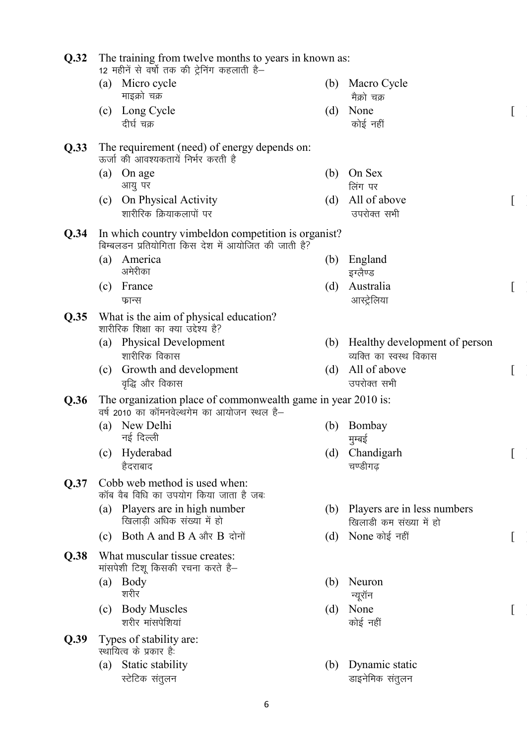| Q.32 | The training from twelve months to years in known as:<br>12 महीनें से वर्षो तक की ट्रेनिंग कहलाती है—       |     |                                                          |  |
|------|-------------------------------------------------------------------------------------------------------------|-----|----------------------------------------------------------|--|
|      | Micro cycle<br>(a)<br>माइक्रो चक्र                                                                          | (b) | Macro Cycle<br>मैक्रो चक्र                               |  |
|      | (c) Long Cycle<br>दीर्घ चक्र                                                                                | (d) | None<br>कोई नहीं                                         |  |
| Q.33 | The requirement (need) of energy depends on:<br>ऊर्जा की आवश्यकतायें निर्भर करती है                         |     |                                                          |  |
|      | On age<br>(a)<br>आयु पर                                                                                     | (b) | On Sex<br>लिंग पर                                        |  |
|      | On Physical Activity<br>(c)<br>शारीरिक क्रियाकलापों पर                                                      | (d) | All of above<br>उपरोक्त सभी                              |  |
| Q.34 | In which country vimbeldon competition is organist?<br>बिम्बलडन प्रतियोगिता किस देश में आयोजित की जाती है?  |     |                                                          |  |
|      | (a) America<br>अमेरीका                                                                                      | (b) | England<br>इग्लैण्ड                                      |  |
|      | France<br>(c)<br>फ्रान्स                                                                                    | (d) | Australia<br>आस्ट्रेलिया                                 |  |
| Q.35 | What is the aim of physical education?<br>शारीरिक शिक्षा का क्या उद्देश्य है?                               |     |                                                          |  |
|      | (a) Physical Development<br>शारीरिक विकास                                                                   | (b) | Healthy development of person<br>व्यक्ति का स्वस्थ विकास |  |
|      | Growth and development<br>(c)<br>वृद्धि और विकास                                                            | (d) | All of above<br>उपरोक्त सभी                              |  |
| Q.36 | The organization place of commonwealth game in year 2010 is:<br>वर्ष 2010 का कॉमनवेल्थगेम का आयोजन स्थल है– |     |                                                          |  |
|      | New Delhi<br>(a)<br>नई दिल्ली                                                                               | (b) | Bombay<br>मुम्बई                                         |  |
|      | Hyderabad<br>(c)<br>हैदराबाद                                                                                | (d) | Chandigarh<br>चण्डीगढ                                    |  |
| Q.37 | Cobb web method is used when:<br>कॉब वैब विधि का उपयोग किया जाता है जब:                                     |     |                                                          |  |
|      | Players are in high number<br>(a)<br>खिलाडी अधिक संख्या में हो                                              | (b) | Players are in less numbers<br>खिलाडी कम संख्या में हो   |  |
|      | <b>Both A and B A और B दोनों</b><br>(c)                                                                     | (d) | None कोई नहीं                                            |  |
| Q.38 | What muscular tissue creates:<br>मांसपेशी टिशू किसकी रचना करते है-                                          |     |                                                          |  |
|      | (a)<br>Body<br>शरीर                                                                                         | (b) | Neuron<br>न्यूरॉन                                        |  |
|      | <b>Body Muscles</b><br>(c)<br>शरीर मांसपेशियां                                                              | (d) | None<br>कोई नहीं                                         |  |
| Q.39 | Types of stability are:<br>स्थायित्व के प्रकार है:                                                          |     |                                                          |  |
|      | Static stability<br>(a)<br>स्टेटिक संतुलन                                                                   | (b) | Dynamic static<br>डाइनेमिक संतुलन                        |  |
|      |                                                                                                             |     |                                                          |  |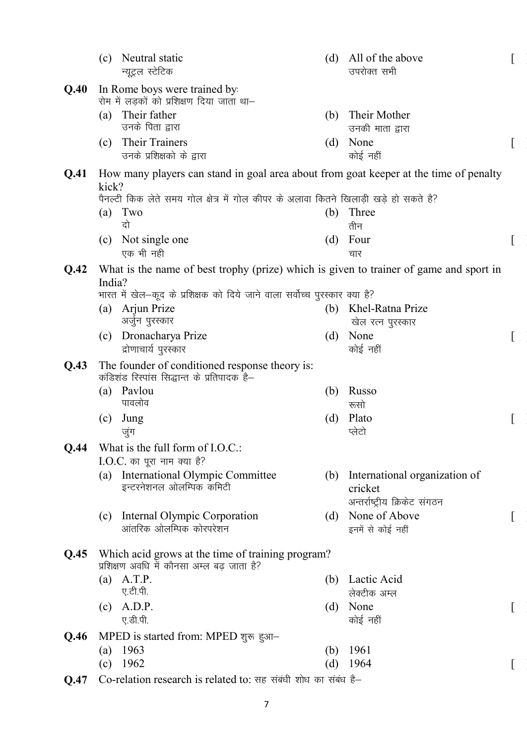|      | (c)                                  | Neutral static<br>न्यूट्रल स्टेटिक                                                              | (d) | All of the above<br>उपरोक्त सभी          |  |
|------|--------------------------------------|-------------------------------------------------------------------------------------------------|-----|------------------------------------------|--|
| Q.40 |                                      | In Rome boys were trained by:<br>रोम में लड़कों को प्रशिक्षण दिया जाता था–                      |     |                                          |  |
|      | (a)                                  | Their father                                                                                    | (b) | Their Mother                             |  |
|      |                                      | उनके पिता द्वारा                                                                                |     | उनकी माता द्वारा                         |  |
|      | (c)                                  | Their Trainers                                                                                  | (d) | None                                     |  |
|      |                                      | उनके प्रशिक्षको के द्वारा                                                                       |     | कोई नहीं                                 |  |
| Q.41 | kick?                                | How many players can stand in goal area about from goat keeper at the time of penalty           |     |                                          |  |
|      |                                      | पैनल्टी किक लेते समय गोल क्षेत्र में गोल कीपर के अलावा कितने खिलाड़ी खड़े हो सकते है?           |     |                                          |  |
|      | (a)                                  | Two<br>दो                                                                                       | (b) | Three<br>तीन                             |  |
|      | (c)                                  | Not single one                                                                                  | (d) | Four                                     |  |
|      |                                      | एक भी नही                                                                                       |     | चार                                      |  |
| Q.42 |                                      | What is the name of best trophy (prize) which is given to trainer of game and sport in          |     |                                          |  |
|      | India?                               |                                                                                                 |     |                                          |  |
|      |                                      | भारत में खेल–कूद के प्रशिक्षक को दिये जाने वाला सर्वोच्च पुरस्कार क्या है?                      |     |                                          |  |
|      | (a)                                  | Arjun Prize                                                                                     | (b) | Khel-Ratna Prize                         |  |
|      |                                      | अर्जुन पुरस्कार                                                                                 |     | खेल रत्न पुरस्कार                        |  |
|      | (c)                                  | Dronacharya Prize                                                                               | (d) | None                                     |  |
|      |                                      | द्रोणाचार्य पुरस्कार                                                                            |     | कोई नहीं                                 |  |
| Q.43 |                                      | The founder of conditioned response theory is:<br>कंडिशंड रिस्पांस सिद्धान्त के प्रतिपादक है-   |     |                                          |  |
|      | (a)                                  | Paylou                                                                                          | (b) | Russo                                    |  |
|      |                                      | पावलोव                                                                                          |     | रूसो                                     |  |
|      | (c)                                  | Jung                                                                                            | (d) | Plato                                    |  |
|      |                                      | जुंग                                                                                            |     | प्लेटो                                   |  |
| Q.44 |                                      | What is the full form of I.O.C.:                                                                |     |                                          |  |
|      |                                      | $I.O.C.$ का पूरा नाम क्या है?                                                                   |     |                                          |  |
|      | (a)                                  | International Olympic Committee<br>इन्टरनेशनल ओलम्पिक कमिटी                                     | (b) | International organization of<br>cricket |  |
|      |                                      |                                                                                                 |     | अन्तर्राष्ट्रीय क्रिकेट संगठन            |  |
|      | (c)                                  | Internal Olympic Corporation                                                                    | (d) | None of Above                            |  |
|      |                                      | आंतरिक ओलम्पिक कोरपरेशन                                                                         |     | इनमें से कोई नहीं                        |  |
| Q.45 |                                      | Which acid grows at the time of training program?<br>प्रशिक्षण अवधि में कौनसा अम्ल बढ़ जाता है? |     |                                          |  |
|      |                                      | $(a)$ A.T.P.                                                                                    | (b) | Lactic Acid                              |  |
|      |                                      | ए.टी.पी.                                                                                        |     | लेक्टीक अम्ल                             |  |
|      | (c)                                  | A.D.P.                                                                                          | (d) | None                                     |  |
|      |                                      | ए.डी.पी.                                                                                        |     | कोई नहीं                                 |  |
| Q.46 | MPED is started from: MPED शुरू हुआ- |                                                                                                 |     |                                          |  |
|      | (a)                                  | 1963                                                                                            | (b) | 1961                                     |  |
|      | (c)                                  | 1962                                                                                            | (d) | 1964                                     |  |
| Q.47 |                                      | Co-relation research is related to: सह संबंधी शोध का संबंध है–                                  |     |                                          |  |

7